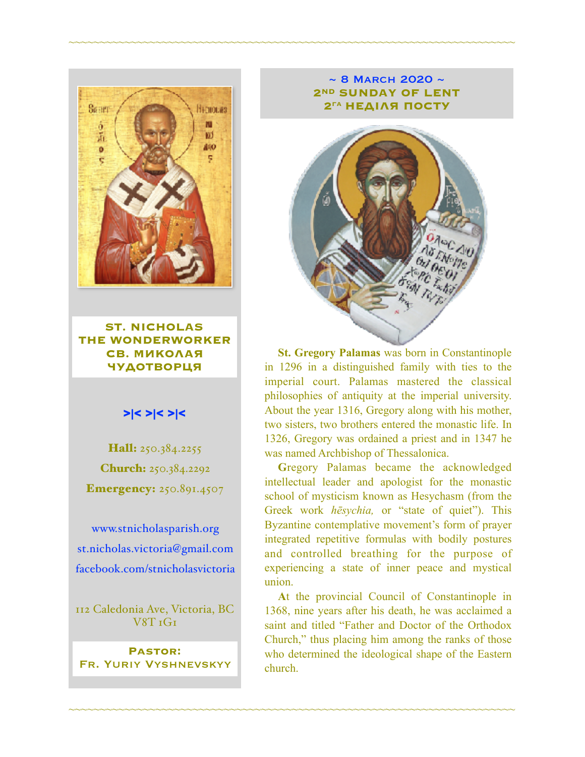

**ST. NICHOLAS THE WONDERWORKER СВ. МИКОЛАЯ ЧУДОТВОРЦЯ**

#### >|< >|< >|<

Hall: 250.384.2255 Church: 250.384.2292 **Emergency: 250.891.4507** 

[www.stnicholasparish.org](http://www.stnicholasparish.org) [st.nicholas.victoria@gmail.com](mailto:st.nicholas.victoria@gmail.com) [facebook.com/stnicholasvictoria](http://facebook.com/stnicholasvictoria)

112 Caledonia Ave, Victoria, BC V8T 1G1

**Pastor:**  Fr. Yuriy Vyshnevskyy

#### $\sim$  8 MARCH 2020  $\sim$ **2ND SUNDAY OF LENT 2ГА НЕДІЛЯ ПОСТУ**

~~~~~~~~~~~~~~~~~~~~~~~~~~~~~~~~~~~~~~~~~~~~~~~~~~~~~~~~~~~~~~~~~~~~~~~~



**St. Gregory Palamas** was born in Constantinople in 1296 in a distinguished family with ties to the imperial court. Palamas mastered the classical philosophies of antiquity at the imperial university. About the year 1316, Gregory along with his mother, two sisters, two brothers entered the monastic life. In 1326, Gregory was ordained a priest and in 1347 he was named Archbishop of Thessalonica.

**G**regory Palamas became the acknowledged intellectual leader and apologist for the monastic school of mysticism known as Hesychasm (from the Greek work *hēsychia,* or "state of quiet"). This Byzantine contemplative movement's form of prayer integrated repetitive formulas with bodily postures and controlled breathing for the purpose of experiencing a state of inner peace and mystical union.

**A**t the provincial Council of Constantinople in 1368, nine years after his death, he was acclaimed a saint and titled "Father and Doctor of the Orthodox Church," thus placing him among the ranks of those who determined the ideological shape of the Eastern church.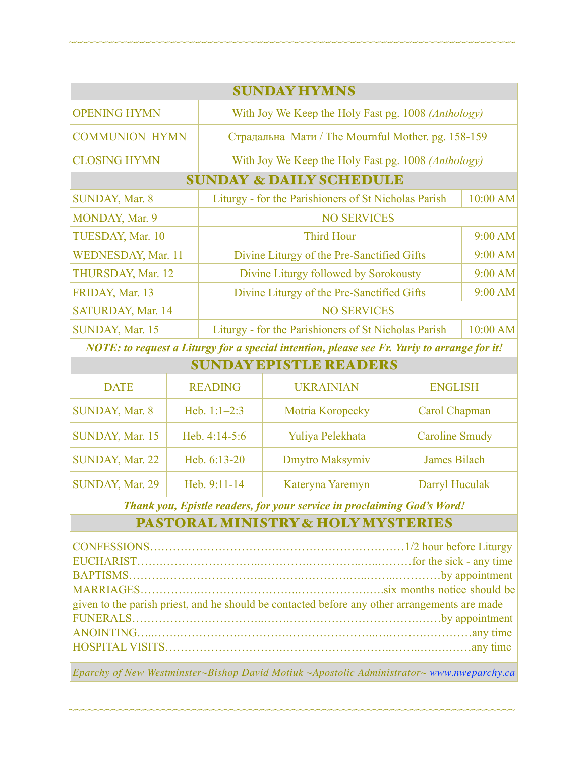| <b>SUNDAY HYMNS</b>                |                                                      |                      |  |  |  |
|------------------------------------|------------------------------------------------------|----------------------|--|--|--|
| <b>OPENING HYMN</b>                | With Joy We Keep the Holy Fast pg. 1008 (Anthology)  |                      |  |  |  |
| <b>COMMUNION HYMN</b>              | Страдальна Мати / The Mournful Mother. pg. 158-159   |                      |  |  |  |
| <b>CLOSING HYMN</b>                | With Joy We Keep the Holy Fast pg. 1008 (Anthology)  |                      |  |  |  |
| <b>SUNDAY &amp; DAILY SCHEDULE</b> |                                                      |                      |  |  |  |
| SUNDAY, Mar. 8                     | Liturgy - for the Parishioners of St Nicholas Parish | $10:00$ AM           |  |  |  |
| MONDAY, Mar. 9                     | <b>NO SERVICES</b>                                   |                      |  |  |  |
| TUESDAY, Mar. 10                   | <b>Third Hour</b>                                    | 9:00 AM              |  |  |  |
| WEDNESDAY, Mar. 11                 | Divine Liturgy of the Pre-Sanctified Gifts           | 9:00 AM              |  |  |  |
| THURSDAY, Mar. 12                  | Divine Liturgy followed by Sorokousty                | $9:00$ AM            |  |  |  |
| FRIDAY, Mar. 13                    | Divine Liturgy of the Pre-Sanctified Gifts           | 9:00 AM              |  |  |  |
| SATURDAY, Mar. 14                  | <b>NO SERVICES</b>                                   |                      |  |  |  |
| SUNDAY, Mar. 15                    | Liturgy - for the Parishioners of St Nicholas Parish | 10:00 AM             |  |  |  |
|                                    | $\mathbf{M} \cap \mathbf{M}$                         | $\sim$ $\sim$ $\sim$ |  |  |  |

~~~~~~~~~~~~~~~~~~~~~~~~~~~~~~~~~~~~~~~~~~~~~~~~~~~~~~~~~~~~~~~~~~~~~~~~

*NOTE: to request a Liturgy for a special intention, please see Fr. Yuriy to arrange for it!*

| <b>SUNDAY EPISTLE READERS</b> |                 |                  |                       |  |  |
|-------------------------------|-----------------|------------------|-----------------------|--|--|
| <b>DATE</b>                   | <b>READING</b>  | <b>UKRAINIAN</b> | <b>ENGLISH</b>        |  |  |
| <b>SUNDAY, Mar. 8</b>         | Heb. $1:1-2:3$  | Motria Koropecky | Carol Chapman         |  |  |
| SUNDAY, Mar. 15               | Heb. $4:14-5:6$ | Yuliya Pelekhata | <b>Caroline Smudy</b> |  |  |
| <b>SUNDAY, Mar. 22</b>        | Heb. 6:13-20    | Dmytro Maksymiv  | <b>James Bilach</b>   |  |  |
| SUNDAY, Mar. 29               | Heb. 9:11-14    | Kateryna Yaremyn | Darryl Huculak        |  |  |

*Thank you, Epistle readers, for your service in proclaiming God's Word!*

## PASTORAL MINISTRY & HOLY MYSTERIES

| given to the parish priest, and he should be contacted before any other arrangements are made |  |
|-----------------------------------------------------------------------------------------------|--|
|                                                                                               |  |
|                                                                                               |  |
|                                                                                               |  |
|                                                                                               |  |

*Eparchy of New Westminster~Bishop David Motiuk ~Apostolic Administrator~ [www.nweparchy.ca](http://www.nweparchy.ca)*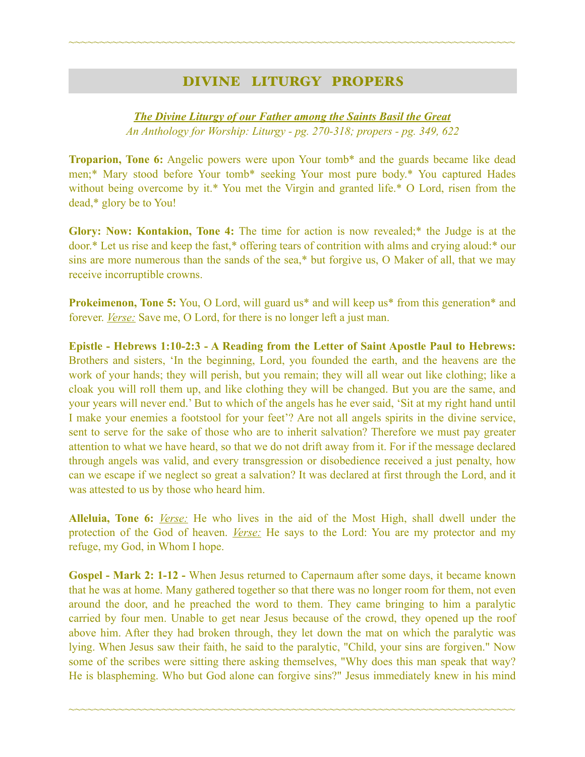## DIVINE LITURGY PROPERS

~~~~~~~~~~~~~~~~~~~~~~~~~~~~~~~~~~~~~~~~~~~~~~~~~~~~~~~~~~~~~~~~~~~~~~~~

### *The Divine Liturgy of our Father among the Saints Basil the Great An Anthology for Worship: Liturgy - pg. 270-318; propers - pg. 349, 622*

**Troparion, Tone 6:** Angelic powers were upon Your tomb\* and the guards became like dead men;\* Mary stood before Your tomb\* seeking Your most pure body.\* You captured Hades without being overcome by it.\* You met the Virgin and granted life.\* O Lord, risen from the dead,\* glory be to You!

**Glory: Now: Kontakion, Tone 4:** The time for action is now revealed;\* the Judge is at the door.\* Let us rise and keep the fast,\* offering tears of contrition with alms and crying aloud:\* our sins are more numerous than the sands of the sea,\* but forgive us, O Maker of all, that we may receive incorruptible crowns.

**Prokeimenon, Tone 5:** You, O Lord, will guard us<sup>\*</sup> and will keep us<sup>\*</sup> from this generation<sup>\*</sup> and forever. *Verse:* Save me, O Lord, for there is no longer left a just man.

**Epistle - Hebrews 1:10-2:3 - A Reading from the Letter of Saint Apostle Paul to Hebrews:** Brothers and sisters, 'In the beginning, Lord, you founded the earth, and the heavens are the work of your hands; they will perish, but you remain; they will all wear out like clothing; like a cloak you will roll them up, and like clothing they will be changed. But you are the same, and your years will never end.' But to which of the angels has he ever said, 'Sit at my right hand until I make your enemies a footstool for your feet'? Are not all angels spirits in the divine service, sent to serve for the sake of those who are to inherit salvation? Therefore we must pay greater attention to what we have heard, so that we do not drift away from it. For if the message declared through angels was valid, and every transgression or disobedience received a just penalty, how can we escape if we neglect so great a salvation? It was declared at first through the Lord, and it was attested to us by those who heard him.

**Alleluia, Tone 6:** *Verse:* He who lives in the aid of the Most High, shall dwell under the protection of the God of heaven. *Verse:* He says to the Lord: You are my protector and my refuge, my God, in Whom I hope.

**Gospel - Mark 2: 1-12 -** When Jesus returned to Capernaum after some days, it became known that he was at home. Many gathered together so that there was no longer room for them, not even around the door, and he preached the word to them. They came bringing to him a paralytic carried by four men. Unable to get near Jesus because of the crowd, they opened up the roof above him. After they had broken through, they let down the mat on which the paralytic was lying. When Jesus saw their faith, he said to the paralytic, "Child, your sins are forgiven." Now some of the scribes were sitting there asking themselves, "Why does this man speak that way? He is blaspheming. Who but God alone can forgive sins?" Jesus immediately knew in his mind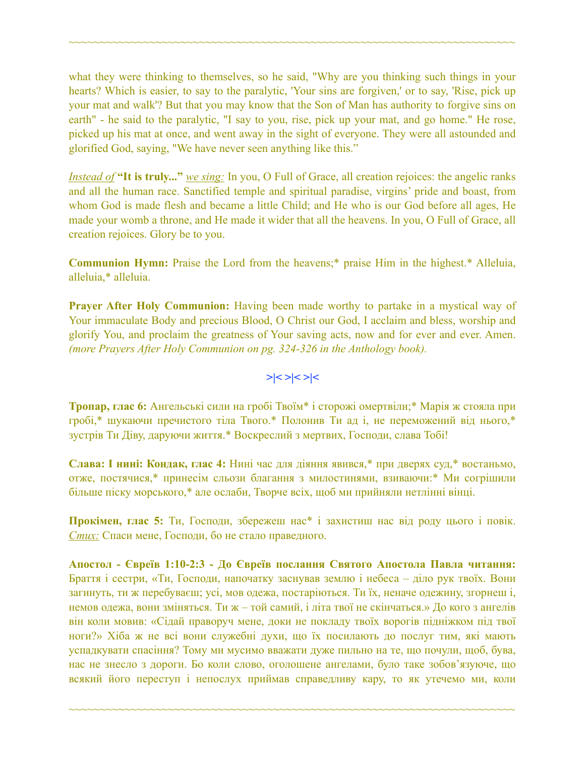what they were thinking to themselves, so he said, "Why are you thinking such things in your hearts? Which is easier, to say to the paralytic, 'Your sins are forgiven,' or to say, 'Rise, pick up your mat and walk'? But that you may know that the Son of Man has authority to forgive sins on earth" - he said to the paralytic, "I say to you, rise, pick up your mat, and go home." He rose, picked up his mat at once, and went away in the sight of everyone. They were all astounded and glorified God, saying, "We have never seen anything like this."

~~~~~~~~~~~~~~~~~~~~~~~~~~~~~~~~~~~~~~~~~~~~~~~~~~~~~~~~~~~~~~~~~~~~~~~~

*Instead of* **"It is truly..."** *we sing:* In you, O Full of Grace, all creation rejoices: the angelic ranks and all the human race. Sanctified temple and spiritual paradise, virgins' pride and boast, from whom God is made flesh and became a little Child; and He who is our God before all ages, He made your womb a throne, and He made it wider that all the heavens. In you, O Full of Grace, all creation rejoices. Glory be to you.

**Communion Hymn:** Praise the Lord from the heavens;\* praise Him in the highest.\* Alleluia, alleluia,\* alleluia.

**Prayer After Holy Communion:** Having been made worthy to partake in a mystical way of Your immaculate Body and precious Blood, O Christ our God, I acclaim and bless, worship and glorify You, and proclaim the greatness of Your saving acts, now and for ever and ever. Amen. *(more Prayers After Holy Communion on pg. 324-326 in the Anthology book).* 

#### **>|< >|< >|<**

**Тропар, глас 6:** Ангельські сили на гробі Твоїм\* і сторожі омертвіли;\* Марія ж стояла при гробі,\* шукаючи пречистого тіла Твого.\* Полонив Ти ад і, не переможений від нього,\* зустрів Ти Діву, даруючи життя.\* Воскреслий з мертвих, Господи, слава Тобі!

**Слава: І нині: Кондак, глас 4:** Нині час для діяння явився,\* при дверях суд,\* востаньмо, отже, постячися,\* принесім сльози благання з милостинями, взиваючи:\* Ми согрішили більше піску морського,\* але ослаби, Творче всіх, щоб ми прийняли нетлінні вінці.

**Прокімен, глас 5:** Ти, Господи, збережеш нас\* і захистиш нас від роду цього і повік. *Стих:* Спаси мене, Господи, бо не стало праведного.

**Апостол - Євреїв 1:10-2:3 - До Євреїв послання Святого Апостола Павла читання:** Браття і сестри, «Ти, Господи, напочатку заснував землю і небеса – діло рук твоїх. Вони загинуть, ти ж перебуваєш; усі, мов одежа, постаріються. Ти їх, неначе одежину, згорнеш і, немов одежа, вони зміняться. Ти ж – той самий, і літа твої не скінчаться.» До кого з ангелів він коли мовив: «Сідай праворуч мене, доки не покладу твоїх ворогів підніжком під твої ноги?» Хіба ж не всі вони служебні духи, що їх посилають до послуг тим, які мають успадкувати спасіння? Тому ми мусимо вважати дуже пильно на те, що почули, щоб, бува, нас не знесло з дороги. Бо коли слово, оголошене ангелами, було таке зобов'язуюче, що всякий його переступ і непослух приймав справедливу кару, то як утечемо ми, коли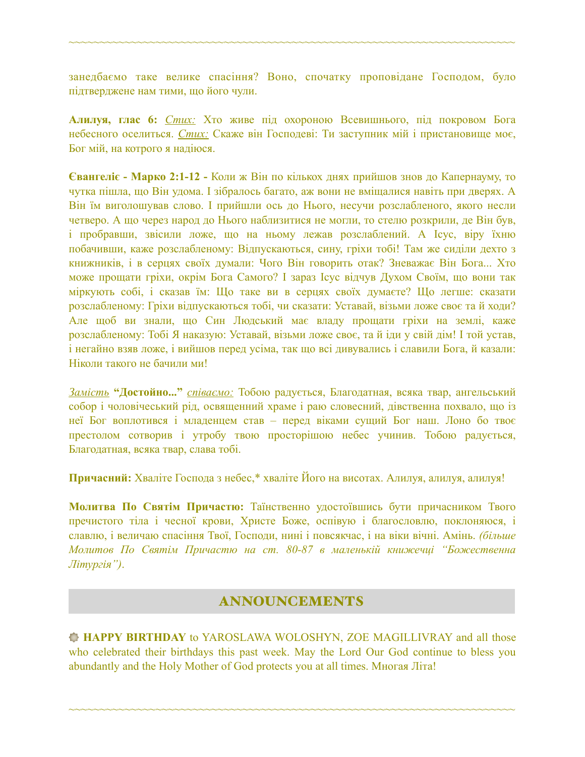занедбаємо таке велике спасіння? Воно, спочатку проповідане Господом, було підтверджене нам тими, що його чули.

~~~~~~~~~~~~~~~~~~~~~~~~~~~~~~~~~~~~~~~~~~~~~~~~~~~~~~~~~~~~~~~~~~~~~~~~

**Алилуя, глас 6:** *Стих:* Хто живе під охороною Всевишнього, під покровом Бога небесного оселиться. *Стих:* Скаже він Господеві: Ти заступник мій і пристановище моє, Бог мій, на котрого я надіюся.

**Євангеліє - Марко 2:1-12 -** Коли ж Він по кількох днях прийшов знов до Капернауму, то чутка пішла, що Він удома. І зібралось багато, аж вони не вміщалися навіть при дверях. А Він їм виголошував слово. І прийшли ось до Нього, несучи розслабленого, якого несли четверо. А що через народ до Нього наблизитися не могли, то стелю розкрили, де Він був, і пробравши, звісили ложе, що на ньому лежав розслаблений. А Ісус, віру їхню побачивши, каже розслабленому: Відпускаються, сину, гріхи тобі! Там же сиділи дехто з книжників, і в серцях своїх думали: Чого Він говорить отак? Зневажає Він Бога... Хто може прощати гріхи, окрім Бога Самого? І зараз Ісус відчув Духом Своїм, що вони так міркують собі, і сказав їм: Що таке ви в серцях своїх думаєте? Що легше: сказати розслабленому: Гріхи відпускаються тобі, чи сказати: Уставай, візьми ложе своє та й ходи? Але щоб ви знали, що Син Людський має владу прощати гріхи на землі, каже розслабленому: Тобі Я наказую: Уставай, візьми ложе своє, та й іди у свій дім! І той устав, і негайно взяв ложе, і вийшов перед усіма, так що всі дивувались і славили Бога, й казали: Ніколи такого не бачили ми!

*Замість* **"Достойно..."** *співаємо:* Тобою радується, Благодатная, всяка твар, ангельський собор і чоловічеський рід, освященний храме і раю словесний, дівственна похвало, що із неї Бог воплотився і младенцем став – перед віками сущий Бог наш. Лоно бо твоє престолом сотворив і утробу твою просторішою небес учинив. Тобою радується, Благодатная, всяка твар, слава тобі.

**Причасний:** Хваліте Господа з небес,\* хваліте Його на висотах. Алилуя, алилуя, алилуя!

**Молитва По Святім Причастю:** Таїнственно удостоївшись бути причасником Твого пречистого тіла і чесної крови, Христе Боже, оспівую і благословлю, поклоняюся, і славлю, і величаю спасіння Твої, Господи, нині і повсякчас, і на віки вічні. Амінь. *(більше Молитов По Святім Причастю на ст. 80-87 в маленькій книжечці "Божественна Літургія")*.

## ANNOUNCEMENTS

**HAPPY BIRTHDAY** to YAROSLAWA WOLOSHYN, ZOE MAGILLIVRAY and all those who celebrated their birthdays this past week. May the Lord Our God continue to bless you abundantly and the Holy Mother of God protects you at all times. Многая Літа!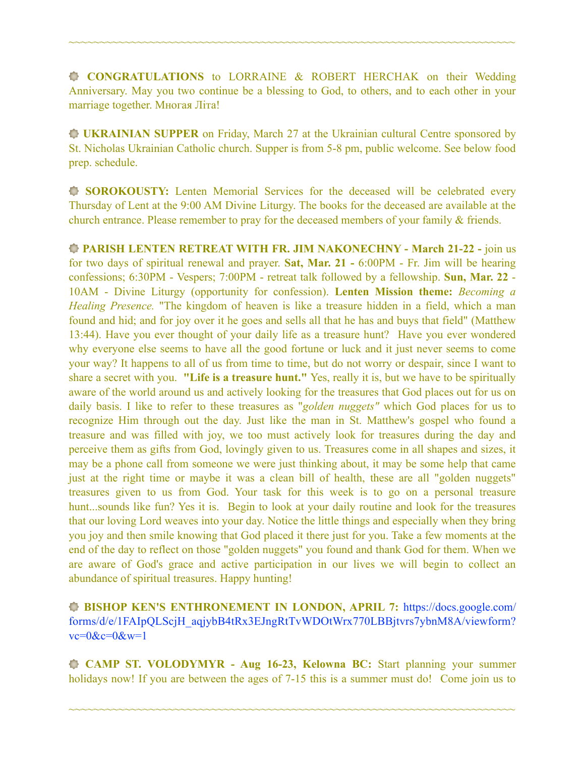**CONGRATULATIONS** to LORRAINE & ROBERT HERCHAK on their Wedding Anniversary. May you two continue be a blessing to God, to others, and to each other in your marriage together. Многая Літа!

~~~~~~~~~~~~~~~~~~~~~~~~~~~~~~~~~~~~~~~~~~~~~~~~~~~~~~~~~~~~~~~~~~~~~~~~

**UKRAINIAN SUPPER** on Friday, March 27 at the Ukrainian cultural Centre sponsored by St. Nicholas Ukrainian Catholic church. Supper is from 5-8 pm, public welcome. See below food prep. schedule.

**SOROKOUSTY:** Lenten Memorial Services for the deceased will be celebrated every Thursday of Lent at the 9:00 AM Divine Liturgy. The books for the deceased are available at the church entrance. Please remember to pray for the deceased members of your family & friends.

**PARISH LENTEN RETREAT WITH FR. JIM NAKONECHNY - March 21-22 -** join us for two days of spiritual renewal and prayer. **Sat, Mar. 21 -** 6:00PM - Fr. Jim will be hearing confessions; 6:30PM - Vespers; 7:00PM - retreat talk followed by a fellowship. **Sun, Mar. 22** - 10AM - Divine Liturgy (opportunity for confession). **Lenten Mission theme:** *Becoming a Healing Presence.* "The kingdom of heaven is like a treasure hidden in a field, which a man found and hid; and for joy over it he goes and sells all that he has and buys that field" (Matthew 13:44). Have you ever thought of your daily life as a treasure hunt? Have you ever wondered why everyone else seems to have all the good fortune or luck and it just never seems to come your way? It happens to all of us from time to time, but do not worry or despair, since I want to share a secret with you. **"Life is a treasure hunt."** Yes, really it is, but we have to be spiritually aware of the world around us and actively looking for the treasures that God places out for us on daily basis. I like to refer to these treasures as "*golden nuggets"* which God places for us to recognize Him through out the day. Just like the man in St. Matthew's gospel who found a treasure and was filled with joy, we too must actively look for treasures during the day and perceive them as gifts from God, lovingly given to us. Treasures come in all shapes and sizes, it may be a phone call from someone we were just thinking about, it may be some help that came just at the right time or maybe it was a clean bill of health, these are all "golden nuggets" treasures given to us from God. Your task for this week is to go on a personal treasure hunt...sounds like fun? Yes it is. Begin to look at your daily routine and look for the treasures that our loving Lord weaves into your day. Notice the little things and especially when they bring you joy and then smile knowing that God placed it there just for you. Take a few moments at the end of the day to reflect on those "golden nuggets" you found and thank God for them. When we are aware of God's grace and active participation in our lives we will begin to collect an abundance of spiritual treasures. Happy hunting!

**BISHOP KEN'S ENTHRONEMENT IN LONDON, APRIL 7:** [https://docs.google.com/](https://docs.google.com/forms/d/e/1FAIpQLScjH_aqjybB4tRx3EJngRtTvWDOtWrx770LBBjtvrs7ybnM8A/viewform?vc=0&c=0&w=1) [forms/d/e/1FAIpQLScjH\\_aqjybB4tRx3EJngRtTvWDOtWrx770LBBjtvrs7ybnM8A/viewform?](https://docs.google.com/forms/d/e/1FAIpQLScjH_aqjybB4tRx3EJngRtTvWDOtWrx770LBBjtvrs7ybnM8A/viewform?vc=0&c=0&w=1)  $vc=0$ & $c=0$ & $w=1$ 

 **CAMP ST. VOLODYMYR - Aug 16-23, Kelowna BC:** Start planning your summer holidays now! If you are between the ages of 7-15 this is a summer must do! Come join us to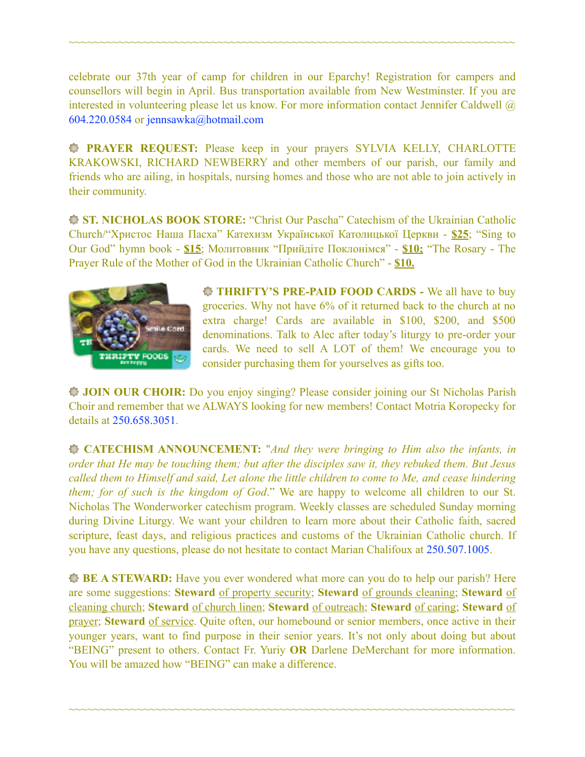celebrate our 37th year of camp for children in our Eparchy! Registration for campers and counsellors will begin in April. Bus transportation available from New Westminster. If you are interested in volunteering please let us know. For more information contact Jennifer Caldwell @ 604.220.0584 or [jennsawka@hotmail.com](mailto:jennsawka@hotmail.com)

~~~~~~~~~~~~~~~~~~~~~~~~~~~~~~~~~~~~~~~~~~~~~~~~~~~~~~~~~~~~~~~~~~~~~~~~

**PRAYER REQUEST:** Please keep in your prayers SYLVIA KELLY, CHARLOTTE KRAKOWSKI, RICHARD NEWBERRY and other members of our parish, our family and friends who are ailing, in hospitals, nursing homes and those who are not able to join actively in their community.

**ST. NICHOLAS BOOK STORE:** "Christ Our Pascha" Catechism of the Ukrainian Catholic Church/"Христос Наша Пасха" Катехизм Української Католицької Церкви - **\$25**; "Sing to Our God" hymn book - **\$15**; Молитовник "Прийдіте Поклонімся" - **\$10;** "The Rosary - The Prayer Rule of the Mother of God in the Ukrainian Catholic Church" - **\$10.** 



**THRIFTY'S PRE-PAID FOOD CARDS -** We all have to buy groceries. Why not have 6% of it returned back to the church at no extra charge! Cards are available in \$100, \$200, and \$500 denominations. Talk to Alec after today's liturgy to pre-order your cards. We need to sell A LOT of them! We encourage you to consider purchasing them for yourselves as gifts too.

**JOIN OUR CHOIR:** Do you enjoy singing? Please consider joining our St Nicholas Parish Choir and remember that we ALWAYS looking for new members! Contact Motria Koropecky for details at 250.658.3051.

**CATECHISM ANNOUNCEMENT:** "*And they were bringing to Him also the infants, in order that He may be touching them; but after the disciples saw it, they rebuked them. But Jesus called them to Himself and said, Let alone the little children to come to Me, and cease hindering them; for of such is the kingdom of God*." We are happy to welcome all children to our St. Nicholas The Wonderworker catechism program. Weekly classes are scheduled Sunday morning during Divine Liturgy. We want your children to learn more about their Catholic faith, sacred scripture, feast days, and religious practices and customs of the Ukrainian Catholic church. If you have any questions, please do not hesitate to contact Marian Chalifoux at 250.507.1005.

**BE A STEWARD:** Have you ever wondered what more can you do to help our parish? Here are some suggestions: **Steward** of property security; **Steward** of grounds cleaning; **Steward** of cleaning church; **Steward** of church linen; **Steward** of outreach; **Steward** of caring; **Steward** of prayer; **Steward** of service. Quite often, our homebound or senior members, once active in their younger years, want to find purpose in their senior years. It's not only about doing but about "BEING" present to others. Contact Fr. Yuriy **OR** Darlene DeMerchant for more information. You will be amazed how "BEING" can make a difference.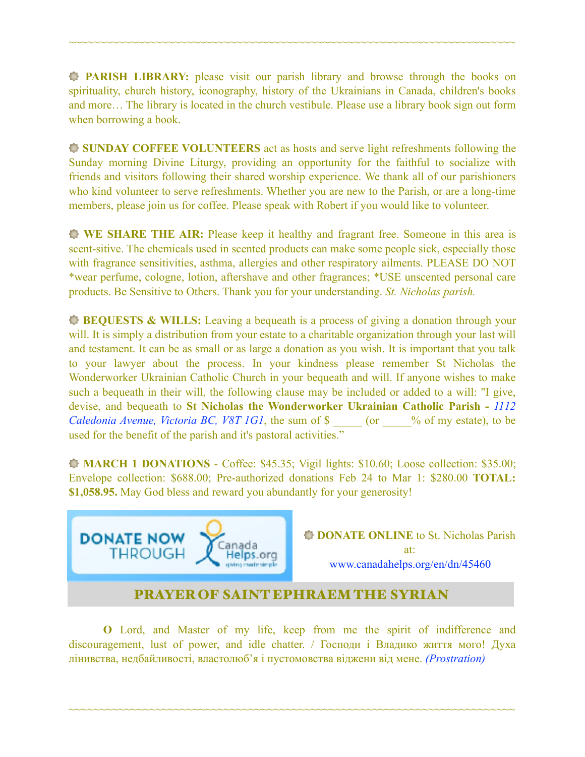**PARISH LIBRARY:** please visit our parish library and browse through the books on spirituality, church history, iconography, history of the Ukrainians in Canada, children's books and more… The library is located in the church vestibule. Please use a library book sign out form when borrowing a book.

~~~~~~~~~~~~~~~~~~~~~~~~~~~~~~~~~~~~~~~~~~~~~~~~~~~~~~~~~~~~~~~~~~~~~~~~

**SUNDAY COFFEE VOLUNTEERS** act as hosts and serve light refreshments following the Sunday morning Divine Liturgy, providing an opportunity for the faithful to socialize with friends and visitors following their shared worship experience. We thank all of our parishioners who kind volunteer to serve refreshments. Whether you are new to the Parish, or are a long-time members, please join us for coffee. Please speak with Robert if you would like to volunteer.

**WE SHARE THE AIR:** Please keep it healthy and fragrant free. Someone in this area is scent-sitive. The chemicals used in scented products can make some people sick, especially those with fragrance sensitivities, asthma, allergies and other respiratory ailments. PLEASE DO NOT \*wear perfume, cologne, lotion, aftershave and other fragrances; \*USE unscented personal care products. Be Sensitive to Others. Thank you for your understanding. *St. Nicholas parish.* 

**BEQUESTS & WILLS:** Leaving a bequeath is a process of giving a donation through your will. It is simply a distribution from your estate to a charitable organization through your last will and testament. It can be as small or as large a donation as you wish. It is important that you talk to your lawyer about the process. In your kindness please remember St Nicholas the Wonderworker Ukrainian Catholic Church in your bequeath and will. If anyone wishes to make such a bequeath in their will, the following clause may be included or added to a will: "I give, devise, and bequeath to **St Nicholas the Wonderworker Ukrainian Catholic Parish -** *1112 Caledonia Avenue, Victoria BC, V8T 1G1*, the sum of \$ \_\_\_\_\_ (or \_\_\_\_% of my estate), to be used for the benefit of the parish and it's pastoral activities."

**MARCH 1 DONATIONS** - Coffee: \$45.35; Vigil lights: \$10.60; Loose collection: \$35.00; Envelope collection: \$688.00; Pre-authorized donations Feb 24 to Mar 1: \$280.00 **TOTAL: \$1,058.95.** May God bless and reward you abundantly for your generosity!



**DONATE ONLINE** to St. Nicholas Parish at: [www.canadahelps.org/en/dn/45460](http://www.canadahelps.org/en/dn/45460)

## PRAYER OF SAINT EPHRAEM THE SYRIAN

**O** Lord, and Master of my life, keep from me the spirit of indifference and discouragement, lust of power, and idle chatter. / Господи і Владико життя мого! Духа лінивства, недбайливості, властолюб'я і пустомовства віджени від мене. *(Prostration)*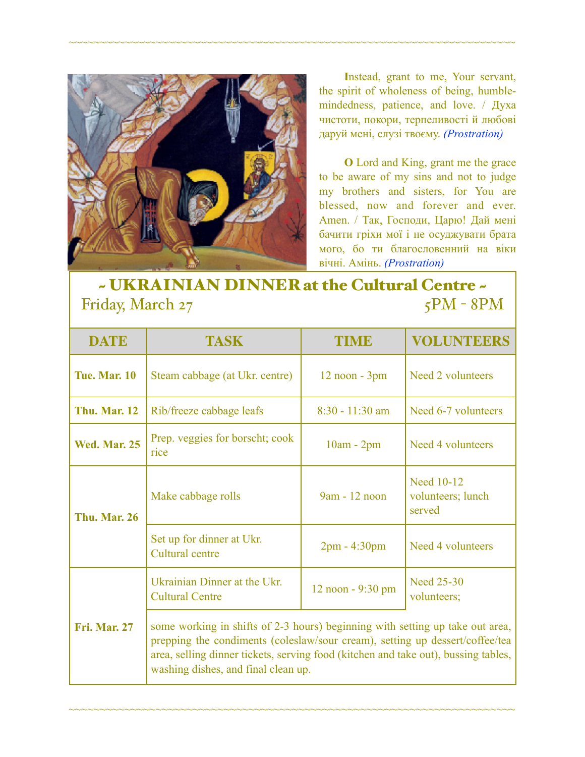

**I**nstead, grant to me, Your servant, the spirit of wholeness of being, humblemindedness, patience, and love. / Духа чистоти, покори, терпеливості й любові даруй мені, слузі твоєму. *(Prostration)* 

**O** Lord and King, grant me the grace to be aware of my sins and not to judge my brothers and sisters, for You are blessed, now and forever and ever. Amen. / Так, Господи, Царю! Дай мені бачити гріхи мої і не осуджувати брата мого, бо ти благословенний на віки вічні. Амінь. *(Prostration)* 

# $\sim$  UKRAINIAN DINNER at the Cultural Centre  $\sim$   $\frac{1}{5}$ PM - 8PM Friday, March 27

~~~~~~~~~~~~~~~~~~~~~~~~~~~~~~~~~~~~~~~~~~~~~~~~~~~~~~~~~~~~~~~~~~~~~~~~

| <b>DATE</b>         | TASK                                                                                                                                                                                                                                                | TIME              | <b>VOLUNTEERS</b>                                |  |
|---------------------|-----------------------------------------------------------------------------------------------------------------------------------------------------------------------------------------------------------------------------------------------------|-------------------|--------------------------------------------------|--|
| <b>Tue. Mar. 10</b> | Steam cabbage (at Ukr. centre)                                                                                                                                                                                                                      | $12$ noon - $3pm$ | Need 2 volunteers                                |  |
| <b>Thu. Mar. 12</b> | Rib/freeze cabbage leafs                                                                                                                                                                                                                            | $8:30 - 11:30$ am | Need 6-7 volunteers                              |  |
| <b>Wed. Mar. 25</b> | Prep. veggies for borscht; cook<br>rice                                                                                                                                                                                                             | $10am - 2pm$      | Need 4 volunteers                                |  |
| <b>Thu. Mar. 26</b> | Make cabbage rolls                                                                                                                                                                                                                                  | 9am - 12 noon     | <b>Need 10-12</b><br>volunteers; lunch<br>served |  |
|                     | Set up for dinner at Ukr.<br>Cultural centre                                                                                                                                                                                                        | $2pm - 4:30pm$    | Need 4 volunteers                                |  |
|                     | Ukrainian Dinner at the Ukr.<br><b>Cultural Centre</b>                                                                                                                                                                                              | 12 noon - 9:30 pm | <b>Need 25-30</b><br>volunteers;                 |  |
| <b>Fri. Mar. 27</b> | some working in shifts of 2-3 hours) beginning with setting up take out area,<br>prepping the condiments (coleslaw/sour cream), setting up dessert/coffee/tea<br>area, selling dinner tickets, serving food (kitchen and take out), bussing tables, |                   |                                                  |  |

~~~~~~~~~~~~~~~~~~~~~~~~~~~~~~~~~~~~~~~~~~~~~~~~~~~~~~~~~~~~~~~~~~~~~~~~

washing dishes, and final clean up.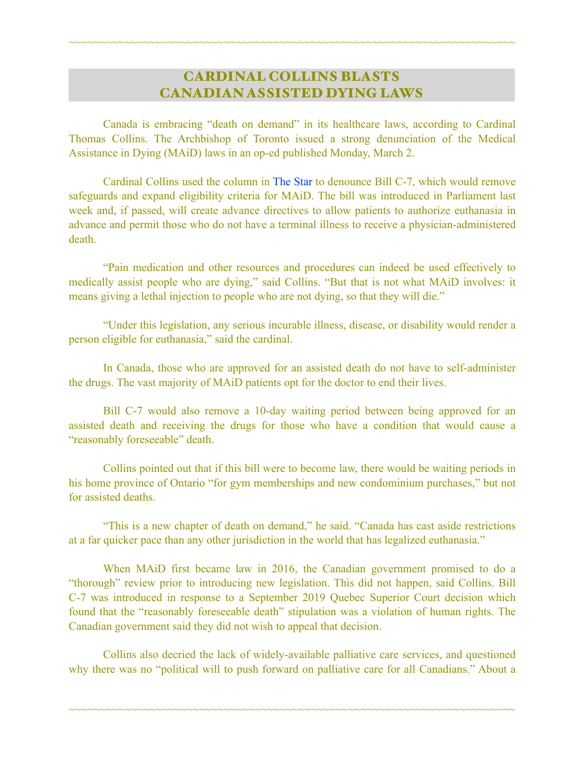## CARDINAL COLLINS BLASTS CANADIAN ASSISTED DYING LAWS

~~~~~~~~~~~~~~~~~~~~~~~~~~~~~~~~~~~~~~~~~~~~~~~~~~~~~~~~~~~~~~~~~~~~~~~~

Canada is embracing "death on demand" in its healthcare laws, according to Cardinal Thomas Collins. The Archbishop of Toronto issued a strong denunciation of the Medical Assistance in Dying (MAiD) laws in an op-ed published Monday, March 2.

 Cardinal Collins used the column in [The Star](https://www.thestar.com/opinion/contributors/2020/03/02/cardinal-collins-instead-of-developing-an-overall-culture-of-care-we-are-rushing-toward-death-on-demand.html) to denounce Bill C-7, which would remove safeguards and expand eligibility criteria for MAiD. The bill was introduced in Parliament last week and, if passed, will create advance directives to allow patients to authorize euthanasia in advance and permit those who do not have a terminal illness to receive a physician-administered death.

 "Pain medication and other resources and procedures can indeed be used effectively to medically assist people who are dying," said Collins. "But that is not what MAiD involves: it means giving a lethal injection to people who are not dying, so that they will die."

 "Under this legislation, any serious incurable illness, disease, or disability would render a person eligible for euthanasia," said the cardinal.

 In Canada, those who are approved for an assisted death do not have to self-administer the drugs. The vast majority of MAiD patients opt for the doctor to end their lives.

 Bill C-7 would also remove a 10-day waiting period between being approved for an assisted death and receiving the drugs for those who have a condition that would cause a "reasonably foreseeable" death.

 Collins pointed out that if this bill were to become law, there would be waiting periods in his home province of Ontario "for gym memberships and new condominium purchases," but not for assisted deaths.

 "This is a new chapter of death on demand," he said. "Canada has cast aside restrictions at a far quicker pace than any other jurisdiction in the world that has legalized euthanasia."

 When MAiD first became law in 2016, the Canadian government promised to do a "thorough" review prior to introducing new legislation. This did not happen, said Collins. Bill C-7 was introduced in response to a September 2019 Quebec Superior Court decision which found that the "reasonably foreseeable death" stipulation was a violation of human rights. The Canadian government said they did not wish to appeal that decision.

 Collins also decried the lack of widely-available palliative care services, and questioned why there was no "political will to push forward on palliative care for all Canadians." About a